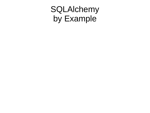### SQLAlchemy by Example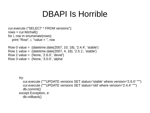#### DBAPI Is Horrible

```
cur.execute ("SELECT * FROM versions");
rows = cur.fetchall()for i, row in enumerate(rows):
  print "Row", i, "value = ", row
```

```
Row 0 value = (datetime.date(2007, 10, 18), '2.4.4', 'stable')
Row 1 value = (datetime.date(2007, 4, 18), '2.5.1', 'stable')
Row 2 value = (None, '2.6.0', 'devel')
Row 3 value = (None, '3.0.0', 'alpha'
```
try:

```
 cur.execute ("""UPDATE versions SET status='stable' where version='2.6.0' """)
   cur.execute ("""UPDATE versions SET status='old' where version='2.4.4' """)
   db.commit()
except Exception, e:
   db.rollback()
```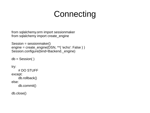# **Connecting**

```
from sqlalchemy.orm import sessionmaker
from sqlalchemy import create_engine
```

```
Session = sessionmaker()
engine = create_engine(DSN, **{ 'echo': False } )
Session.configure(bind=Backend._engine)
```

```
db = Session()
```
try:

```
# DO STUFF
except:
    db.rollback()
else:
    db.commit()
```
db.close()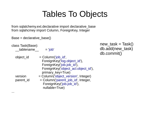## Tables To Objects

from sqlalchemy.ext.declarative import declarative\_base from sqlahcmey import Column, ForeignKey, Integer

Base = declarative\_base()

class Task(Base):

...

\_\_tablename\_\_ = 'job'

| object id | $=$ Column('job id',                |
|-----------|-------------------------------------|
|           | ForeignKey('log.object id'),        |
|           | ForeignKey('job.job id'),           |
|           | ForeignKey('object_acl.object_id'), |
|           | primary_key=True)                   |
| version   | = Column('object_version', Integer) |
| parent id | = Column('parent_job_id', Integer,  |
|           | ForeignKey('job.job id'),           |
|           | nullable=True)                      |

new task = Task() db.add(new\_task) db.commit()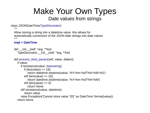#### Make Your Own Types Date values from strings

class JSONDateTime(TypeDecorator):

 $"$ """"

 Allow storing a string into a datetime value, this allows for automatically conversion of the JSON date strings into date values """"

#### **impl = DateTime**

```
def \overline{\phantom{a}} init (self, *arg, **kw):
   TypeDecorator.__init__(self, *arg, **kw)
def process bind param(self, value, dialect):
   if value:
      if isinstance(value, basestring):
        if (len(value) == 19):
           return datetime.strptime(value, '%Y-%m-%dT%H:%M:%S')
        elif (len(value) == 16):
           return datetime.strptime(value, '%Y-%m-%dT%H:%M')
        elif (len(value) == 0):
           return None
      elif isinstance(value, datetime):
        return value
      raise Exception('Cannot store value "{0}" as DateTime'.format(value))
   return None
```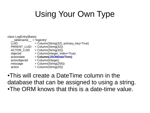# Using Your Own Type

class LogEntry(Base):

- $tablename = 'logentry'$ LUID  $=$  Column(String(32), primary key=True) PARENT\_LUID = Column(String(32))  $ACTOR$ <sup>LUID</sup> = Column(String(32))  $objectid - 1 = Column(Integer, index=True)$   $actiondate - 2 = Column(JSONDateTime)$  actiondate = **Column(JSONDateTime)** actorobjectid = Column(Integer)  $message$  = Column(String(255))  $\alpha$ ction = Column(String(20))
- ●This will create a DateTime column in the database that can be assigned to using a string. •The ORM knows that this is a date-time value.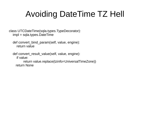# Avoiding DateTime TZ Hell

class UTCDateTime(sqla.types.TypeDecorator): impl = sqla.types.DateTime

 def convert\_bind\_param(self, value, engine): return value

 def convert\_result\_value(self, value, engine): if value: return value.replace(tzinfo=UniversalTimeZone)) return None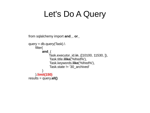### Let's Do A Query

```
from sqlalchemy import and_, or_
query = db.query(Task).
    filter(
         and_(
              Task.executor_id.in_([10100, 11530, ]),
               Task.title.ilike('%fred%'),
               Task.keywords.like('%fred%'),
               Task.state != '30_archived'
         )
    ).limit(150)
results = query.all()
```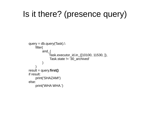# Is it there? (presence query)

```
query = db.query(Task).\lambdafilter(
         and_(
               Task.executor_id.in_([10100, 11530, ]),
                Task.state != '30_archived'
          )
     )
result = query.first()
if result:
     print('SHAZAM!')
else:
     print('WHA WHA.')
```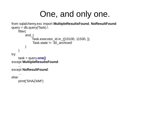#### One, and only one.

```
from sqlalchemy.exc import MultipleResultsFound, NoResultFound
query = db.query(Task).
    filter(
        and_(
             Task.executor_id.in_([10100, 11530, ]),
              Task.state != '30_archived'
         )
    )
try:
    task = query.one()
except MultipleResultsFound:
    ...
except NoResultFound:
    …
else:
    print('SHAZAM!')
```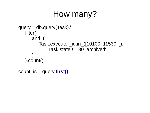#### How many?

```
query = db.query(Task).\lambdafilter(
      and_(
          Task.executor_id.in_([10100, 11530, ]),
               Task.state != '30_archived'
       )
   ).count()
```

```
count_is = query.first()
```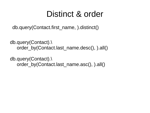#### Distinct & order

db.query(Contact.first\_name, ).distinct()

db.query(Contact).\ order by(Contact.last name.desc(), ).all()

db.query(Contact).\ order\_by(Contact.last\_name.asc(), ).all()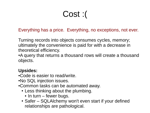## Cost :(

Everything has a price. Everything, no exceptions, not ever.

Turning records into objects consumes cycles, memory; ultimately the convenience is paid for with a decrease in theoretical efficiency.

• A query that returns a thousand rows will create a thousand objects.

#### **Upsides:**

• Code is easier to read/write.

- •No SQL injection issues.
- Common tasks can be automated away.
	- Less thinking about the plumbing.
		- $\cdot$  In turn fewer bugs.
	- Safer SQLAlchemy won't even start if your defined relationships are pathological.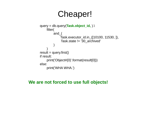#### Cheaper!

```
query = db.query(Task.object_id, ).\
    filter(
         and_(
              Task.executor_id.in_([10100, 11530, ]),
               Task.state != '30_archived'
         )
     )
result = query.fit()if result:
    print('Object#{0}'.format(result[0]))
else:
    print('WHA WHA.')
```
#### **We are not forced to use full objects!**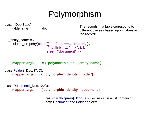# Polymorphism

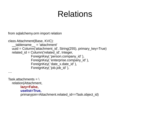## Relations

from sqlalchemy.orm import relation

```
class Attachment(Base, KVC):
     __tablename__ = 'attachment'
   uuid = Column('attachment_id', String(255), primary_key=True)
  related id = Column('related id', Integer,ForeignKey( 'person.company id' ),
                ForeignKey( 'enterprise.company_id' ),
                ForeignKey( 'date_x.date_id' ),
               ForeignKey('iob.job_id'),
....
```

```
Task.attachments = \theta relation(Attachment,
         lazy=False,
         uselist=True,
         primaryjoin=Attachment.related_id==Task.object_id)
```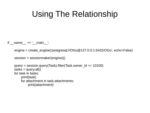# Using The Relationship

if  $name = '$  main  $'$ :

engine = create\_engine('postgresql://OGo@127.0.0.1:5432/OGo', echo=False)

```
session = sessionmaker(engine)()
```

```
query = session.query(Task).filter(Task.owner_id == 10100)
tasks = query.all()
 for task in tasks:
    print(task)
    for attachment in task.attachments:
         print(attachment)
```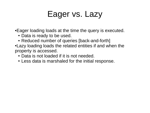### Eager vs. Lazy

• Eager loading loads at the time the query is executed.

- Data is ready to be used.
- Reduced number of queries [back-and-forth]
- Lazy loading loads the related entities if and when the property is accessed.
	- Data is not loaded if it is not needed.
	- Less data is marshaled for the initial response.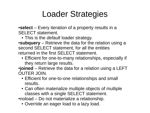## Loader Strategies

•**select** – Every iteration of a property results in a SELECT statement.

• This is the *default* loader strategy.

•**subquery** – Retrieve the data for the relation using a second SELECT statement, for all the entities returned in the first SELECT statement.

• Efficient for one-to-many relationships, especially if they return large results.

•**joined** – Retrieve the data for a relation using a LEFT OUTER JOIN.

- Efficient for one-to-one relationships and small results.
- Can often materialize multiple objects of multiple classes with a single SELECT statement.

• noload – Do not materialize a relationship.

• Override an eager load to a lazy load.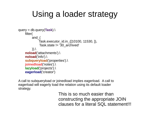## Using a loader strategy

```
query = db.query(Task).\
    filter(
         and_(
              Task.executor_id.in_([10100, 11530, ]),
               Task.state != '30_archived'
         )).
    noload('attachments').\
    noload('info').\
    subqueryload('properties').\
    joinedload('notes').\
    lazyload('projects').\
    eagerload('creator')
```
A call to subqueryload or joinedload implies eagerload. A call to eagerload will eagerly load the relation using its default loader strategy.

> This is so much easier than constructing the appropriate JOIN clauses for a literal SQL statement!!!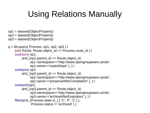# Using Relations Manually

- op1 = aliased(ObjectProperty)
- op2 = aliased(ObjectProperty)
- op3 = aliased(ObjectProperty)

```
q = db.query( Process, op1, op2, op3).join( Route, Route.object id == Process.route id ).\lambda outerjoin( op1, 
         and (op1.parent id == Route.object id,
                op1.namespace=='http://www.opengroupware.us/oie',
                op1.name=='expireDays' ), ).\
     outerjoin( op2, 
         and (op2.parent id == Route.object id,
                op2.namespace=='http://www.opengroupware.us/oie',
                op2.name=='preserveAfterCompletion' ), ).\
     outerjoin(op3, 
         and (op3.parent id == Route.object id,
                op3.namespace=='http://www.opengroupware.us/oie',
                op3.name=='archiveAfterExpiration' ), ).\
    filter(and (Process.state.in ([ 'C', 'F', 'Z'] ),
                Process.status != 'archived' ) )
```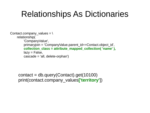### Relationships As Dictionaries

```
Contact.company values = \setminusrelationship(
         'CompanyValue',
         primaryjoin = 'CompanyValue.parent_id==Contact.object_id',
          collection_class = attribute_mapped_collection( 'name' ),
         lazy = False,
         cascade = 'all, delete-orphan')
```
contact =  $db.query(Content).get(10100)$ print(contact.company\_values**['territory'**])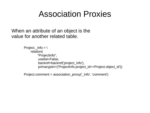#### Association Proxies

When an attribute of an object is the value for another related table.

```
Project._info = \iotarelation(
         "ProjectInfo",
           uselist=False,
           backref=backref('project_info'),
           primaryjoin=('ProjectInfo.project_id==Project.object_id'))
```

```
Project.comment = association_proxy('_info', 'comment')
```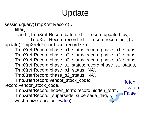# Update

```
session.query(TmpXrefrRecord).\
     filter(
      and (TmpXrefrRecord.batch id == record.updated_by,
             TmpXrefrRecord.record_id == record.record_id, )).\
update({TmpXrefrRecord.sku: record.sku,
     TmpXrefrRecord.phase_a1_status: record.phase_a1_status,
     TmpXrefrRecord.phase_a2_status: record.phase_a2_status,
     TmpXrefrRecord.phase_a3_status: record.phase_a3_status,
     TmpXrefrRecord.phase_s1_status: record.phase_s1_status,
     TmpXrefrRecord.phase_b1_status: 'NA',
     TmpXrefrRecord.phase_b2_status: 'NA',
     TmpXrefrRecord.vendor_stock_code: 
record.vendor_stock_code,
     TmpXrefrRecord.hidden_form: record.hidden_form,
     TmpXrefrRecord._supersede: supersede_flag, },
     synchronize_session=False)
                                                        'fetch'
                                                        'evaluate'
                                                        False
```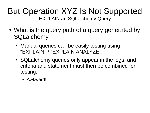#### But Operation XYZ Is Not Supported EXPLAIN an SQLalchemy Query

- What is the query path of a query generated by SQLalchemy.
	- Manual queries can be easily testing using "EXPLAIN" / "EXPLAIN ANALYZE".
	- SQLalchemy queries only appear in the logs, and criteria and statement must then be combined for testing.
		- Awkward!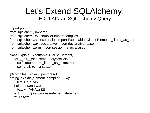#### Let's Extend SQLAlchemy! EXPLAIN an SQLalchemy Query

import pprint from sqlalchemy import \* from sqlalchemy.ext.compiler import compiles from sqlalchemy.sql.expression import Executable, ClauseElement, literal as text from sqlalchemy.ext.declarative import declarative\_base from sqlalchemy.orm import sessionmaker, aliased

```
class Explain(Executable, ClauseElement):
  def init (self, stmt, analyze=False):
     self.statement = \text{literal} as text(stmt)
      self.analyze = analyze
```

```
@compiles(Explain, 'postgresql')
def pg_explain(element, compiler, **kw):
   text = "EXPLAIN "
   if element.analyze:
      text += "ANALYZE "
   text += compiler.process(element.statement)
   return text
```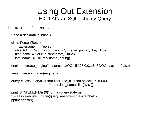#### Using Out Extension EXPLAIN an SQLalchemy Query

if  $name = '$  main  $'$ :

Base = declarative\_base()

class Person(Base):

```
tablename = 'person'
 objectid = Column('company_id', Integer, primary_key=True)
first name = Column('firstname', String)last name = Column('name', String)
```
engine = create\_engine('postgresql://OGo@127.0.0.1:5432/OGo', echo=False)

```
 sess = sessionmaker(engine)()
```

```
 query = sess.query(Person).filter(and_(Person.objectid > 10000, 
                         Person.last_name.ilike('W%')))
```

```
 print 'STATEMENT:\n {0}'.format(query.statement)
 x = sess.execute(Explain(query, analyze=True)).fetchall()
 pprint.pprint(x)
```